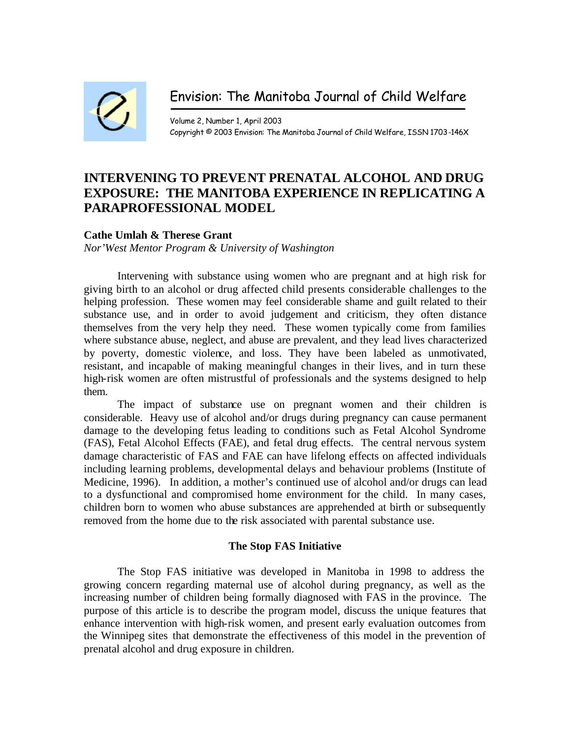

Envision: The Manitoba Journal of Child Welfare

Volume 2, Number 1, April 2003 Copyright © 2003 Envision: The Manitoba Journal of Child Welfare, ISSN 1703-146X

# **INTERVENING TO PREVENT PRENATAL ALCOHOL AND DRUG EXPOSURE: THE MANITOBA EXPERIENCE IN REPLICATING A PARAPROFESSIONAL MODEL**

# **Cathe Umlah & Therese Grant**

*Nor'West Mentor Program & University of Washington*

Intervening with substance using women who are pregnant and at high risk for giving birth to an alcohol or drug affected child presents considerable challenges to the helping profession. These women may feel considerable shame and guilt related to their substance use, and in order to avoid judgement and criticism, they often distance themselves from the very help they need. These women typically come from families where substance abuse, neglect, and abuse are prevalent, and they lead lives characterized by poverty, domestic violence, and loss. They have been labeled as unmotivated, resistant, and incapable of making meaningful changes in their lives, and in turn these high-risk women are often mistrustful of professionals and the systems designed to help them.

The impact of substance use on pregnant women and their children is considerable. Heavy use of alcohol and/or drugs during pregnancy can cause permanent damage to the developing fetus leading to conditions such as Fetal Alcohol Syndrome (FAS), Fetal Alcohol Effects (FAE), and fetal drug effects. The central nervous system damage characteristic of FAS and FAE can have lifelong effects on affected individuals including learning problems, developmental delays and behaviour problems (Institute of Medicine, 1996). In addition, a mother's continued use of alcohol and/or drugs can lead to a dysfunctional and compromised home environment for the child. In many cases, children born to women who abuse substances are apprehended at birth or subsequently removed from the home due to the risk associated with parental substance use.

# **The Stop FAS Initiative**

The Stop FAS initiative was developed in Manitoba in 1998 to address the growing concern regarding maternal use of alcohol during pregnancy, as well as the increasing number of children being formally diagnosed with FAS in the province. The purpose of this article is to describe the program model, discuss the unique features that enhance intervention with high-risk women, and present early evaluation outcomes from the Winnipeg sites that demonstrate the effectiveness of this model in the prevention of prenatal alcohol and drug exposure in children.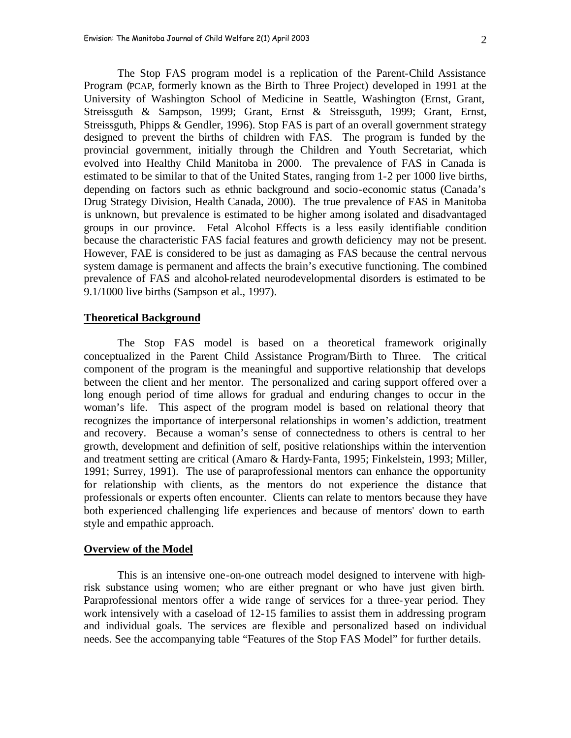The Stop FAS program model is a replication of the Parent-Child Assistance Program (PCAP, formerly known as the Birth to Three Project) developed in 1991 at the University of Washington School of Medicine in Seattle, Washington (Ernst, Grant, Streissguth & Sampson, 1999; Grant, Ernst & Streissguth, 1999; Grant, Ernst, Streissguth, Phipps & Gendler, 1996). Stop FAS is part of an overall government strategy designed to prevent the births of children with FAS. The program is funded by the provincial government, initially through the Children and Youth Secretariat, which evolved into Healthy Child Manitoba in 2000. The prevalence of FAS in Canada is estimated to be similar to that of the United States, ranging from 1-2 per 1000 live births, depending on factors such as ethnic background and socio-economic status (Canada's Drug Strategy Division, Health Canada, 2000). The true prevalence of FAS in Manitoba is unknown, but prevalence is estimated to be higher among isolated and disadvantaged groups in our province. Fetal Alcohol Effects is a less easily identifiable condition because the characteristic FAS facial features and growth deficiency may not be present. However, FAE is considered to be just as damaging as FAS because the central nervous system damage is permanent and affects the brain's executive functioning. The combined prevalence of FAS and alcohol-related neurodevelopmental disorders is estimated to be 9.1/1000 live births (Sampson et al., 1997).

### **Theoretical Background**

The Stop FAS model is based on a theoretical framework originally conceptualized in the Parent Child Assistance Program/Birth to Three. The critical component of the program is the meaningful and supportive relationship that develops between the client and her mentor. The personalized and caring support offered over a long enough period of time allows for gradual and enduring changes to occur in the woman's life. This aspect of the program model is based on relational theory that recognizes the importance of interpersonal relationships in women's addiction, treatment and recovery. Because a woman's sense of connectedness to others is central to her growth, development and definition of self, positive relationships within the intervention and treatment setting are critical (Amaro & Hardy-Fanta, 1995; Finkelstein, 1993; Miller, 1991; Surrey, 1991). The use of paraprofessional mentors can enhance the opportunity for relationship with clients, as the mentors do not experience the distance that professionals or experts often encounter. Clients can relate to mentors because they have both experienced challenging life experiences and because of mentors' down to earth style and empathic approach.

### **Overview of the Model**

This is an intensive one-on-one outreach model designed to intervene with highrisk substance using women; who are either pregnant or who have just given birth. Paraprofessional mentors offer a wide range of services for a three-year period. They work intensively with a caseload of 12-15 families to assist them in addressing program and individual goals. The services are flexible and personalized based on individual needs. See the accompanying table "Features of the Stop FAS Model" for further details.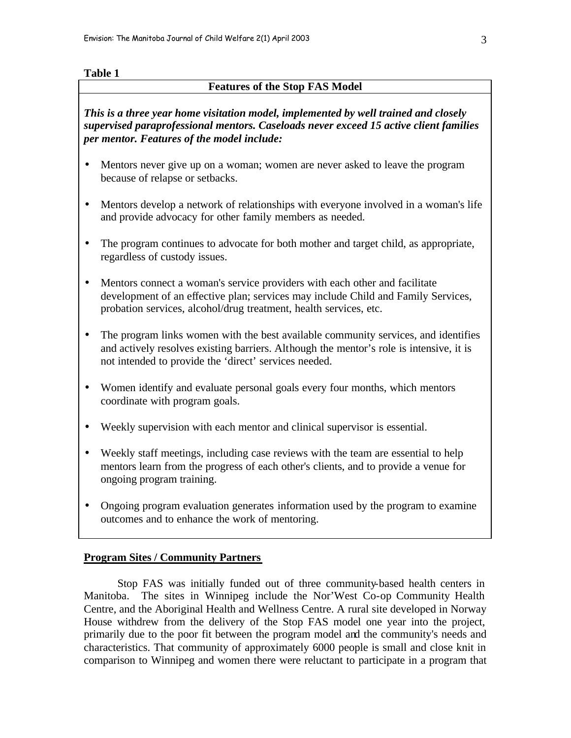# **Table 1**

# **Features of the Stop FAS Model**

*This is a three year home visitation model, implemented by well trained and closely supervised paraprofessional mentors. Caseloads never exceed 15 active client families per mentor. Features of the model include:*

- Mentors never give up on a woman; women are never asked to leave the program because of relapse or setbacks.
- Mentors develop a network of relationships with everyone involved in a woman's life and provide advocacy for other family members as needed.
- The program continues to advocate for both mother and target child, as appropriate, regardless of custody issues.
- Mentors connect a woman's service providers with each other and facilitate development of an effective plan; services may include Child and Family Services, probation services, alcohol/drug treatment, health services, etc.
- The program links women with the best available community services, and identifies and actively resolves existing barriers. Although the mentor's role is intensive, it is not intended to provide the 'direct' services needed.
- Women identify and evaluate personal goals every four months, which mentors coordinate with program goals.
- Weekly supervision with each mentor and clinical supervisor is essential.
- Weekly staff meetings, including case reviews with the team are essential to help mentors learn from the progress of each other's clients, and to provide a venue for ongoing program training.
- Ongoing program evaluation generates information used by the program to examine outcomes and to enhance the work of mentoring.

# **Program Sites / Community Partners**

Stop FAS was initially funded out of three community-based health centers in Manitoba. The sites in Winnipeg include the Nor'West Co-op Community Health Centre, and the Aboriginal Health and Wellness Centre. A rural site developed in Norway House withdrew from the delivery of the Stop FAS model one year into the project, primarily due to the poor fit between the program model and the community's needs and characteristics. That community of approximately 6000 people is small and close knit in comparison to Winnipeg and women there were reluctant to participate in a program that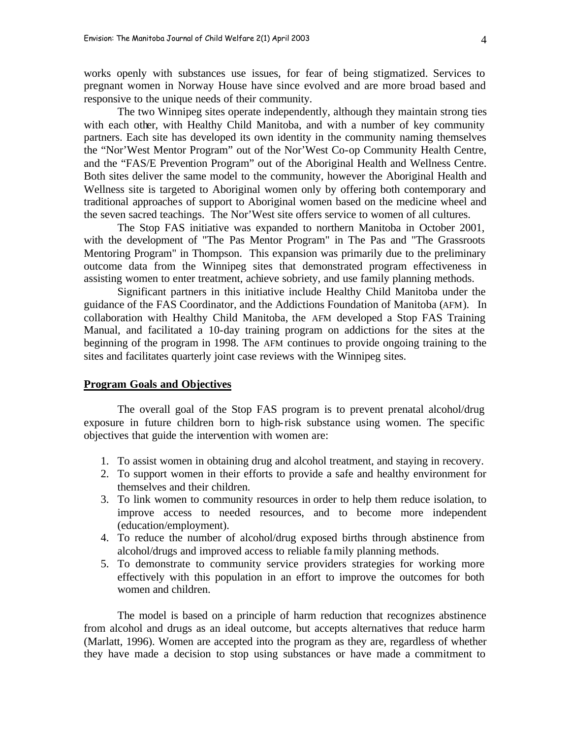works openly with substances use issues, for fear of being stigmatized. Services to pregnant women in Norway House have since evolved and are more broad based and responsive to the unique needs of their community.

The two Winnipeg sites operate independently, although they maintain strong ties with each other, with Healthy Child Manitoba, and with a number of key community partners. Each site has developed its own identity in the community naming themselves the "Nor'West Mentor Program" out of the Nor'West Co-op Community Health Centre, and the "FAS/E Prevention Program" out of the Aboriginal Health and Wellness Centre. Both sites deliver the same model to the community, however the Aboriginal Health and Wellness site is targeted to Aboriginal women only by offering both contemporary and traditional approaches of support to Aboriginal women based on the medicine wheel and the seven sacred teachings. The Nor'West site offers service to women of all cultures.

The Stop FAS initiative was expanded to northern Manitoba in October 2001, with the development of "The Pas Mentor Program" in The Pas and "The Grassroots Mentoring Program" in Thompson. This expansion was primarily due to the preliminary outcome data from the Winnipeg sites that demonstrated program effectiveness in assisting women to enter treatment, achieve sobriety, and use family planning methods.

Significant partners in this initiative include Healthy Child Manitoba under the guidance of the FAS Coordinator, and the Addictions Foundation of Manitoba (AFM). In collaboration with Healthy Child Manitoba, the AFM developed a Stop FAS Training Manual, and facilitated a 10-day training program on addictions for the sites at the beginning of the program in 1998. The AFM continues to provide ongoing training to the sites and facilitates quarterly joint case reviews with the Winnipeg sites.

### **Program Goals and Objectives**

The overall goal of the Stop FAS program is to prevent prenatal alcohol/drug exposure in future children born to high-risk substance using women. The specific objectives that guide the intervention with women are:

- 1. To assist women in obtaining drug and alcohol treatment, and staying in recovery.
- 2. To support women in their efforts to provide a safe and healthy environment for themselves and their children.
- 3. To link women to community resources in order to help them reduce isolation, to improve access to needed resources, and to become more independent (education/employment).
- 4. To reduce the number of alcohol/drug exposed births through abstinence from alcohol/drugs and improved access to reliable family planning methods.
- 5. To demonstrate to community service providers strategies for working more effectively with this population in an effort to improve the outcomes for both women and children.

The model is based on a principle of harm reduction that recognizes abstinence from alcohol and drugs as an ideal outcome, but accepts alternatives that reduce harm (Marlatt, 1996). Women are accepted into the program as they are, regardless of whether they have made a decision to stop using substances or have made a commitment to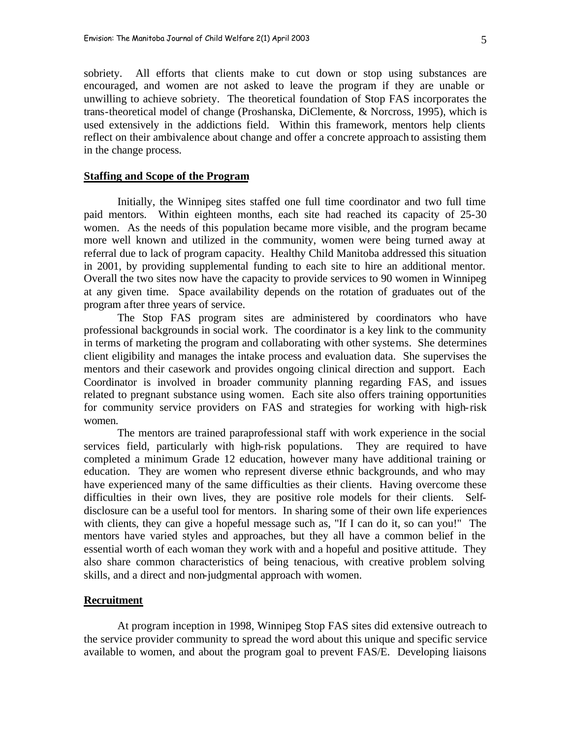sobriety. All efforts that clients make to cut down or stop using substances are encouraged, and women are not asked to leave the program if they are unable or unwilling to achieve sobriety. The theoretical foundation of Stop FAS incorporates the trans-theoretical model of change (Proshanska, DiClemente, & Norcross, 1995), which is used extensively in the addictions field. Within this framework, mentors help clients reflect on their ambivalence about change and offer a concrete approach to assisting them in the change process.

## **Staffing and Scope of the Program**

Initially, the Winnipeg sites staffed one full time coordinator and two full time paid mentors. Within eighteen months, each site had reached its capacity of 25-30 women. As the needs of this population became more visible, and the program became more well known and utilized in the community, women were being turned away at referral due to lack of program capacity. Healthy Child Manitoba addressed this situation in 2001, by providing supplemental funding to each site to hire an additional mentor. Overall the two sites now have the capacity to provide services to 90 women in Winnipeg at any given time. Space availability depends on the rotation of graduates out of the program after three years of service.

The Stop FAS program sites are administered by coordinators who have professional backgrounds in social work. The coordinator is a key link to the community in terms of marketing the program and collaborating with other systems. She determines client eligibility and manages the intake process and evaluation data. She supervises the mentors and their casework and provides ongoing clinical direction and support. Each Coordinator is involved in broader community planning regarding FAS, and issues related to pregnant substance using women. Each site also offers training opportunities for community service providers on FAS and strategies for working with high-risk women.

The mentors are trained paraprofessional staff with work experience in the social services field, particularly with high-risk populations. They are required to have completed a minimum Grade 12 education, however many have additional training or education. They are women who represent diverse ethnic backgrounds, and who may have experienced many of the same difficulties as their clients. Having overcome these difficulties in their own lives, they are positive role models for their clients. Selfdisclosure can be a useful tool for mentors. In sharing some of their own life experiences with clients, they can give a hopeful message such as, "If I can do it, so can you!" The mentors have varied styles and approaches, but they all have a common belief in the essential worth of each woman they work with and a hopeful and positive attitude. They also share common characteristics of being tenacious, with creative problem solving skills, and a direct and non-judgmental approach with women.

#### **Recruitment**

At program inception in 1998, Winnipeg Stop FAS sites did extensive outreach to the service provider community to spread the word about this unique and specific service available to women, and about the program goal to prevent FAS/E. Developing liaisons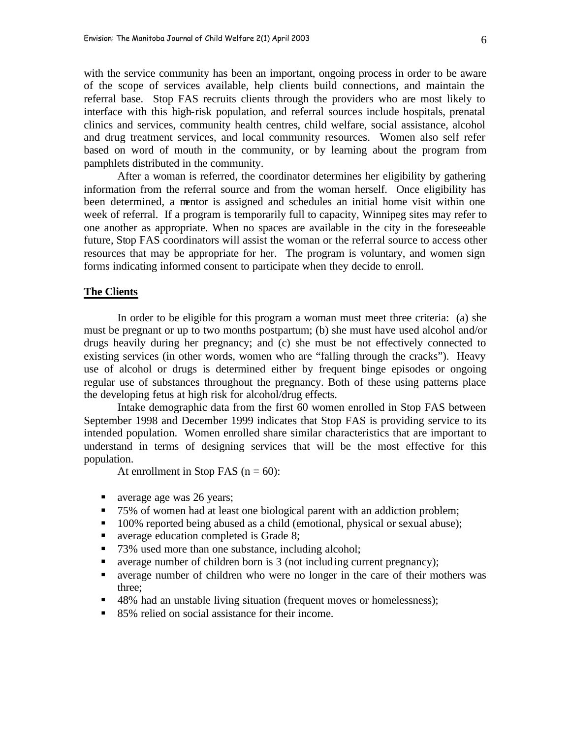with the service community has been an important, ongoing process in order to be aware of the scope of services available, help clients build connections, and maintain the referral base. Stop FAS recruits clients through the providers who are most likely to interface with this high-risk population, and referral sources include hospitals, prenatal clinics and services, community health centres, child welfare, social assistance, alcohol and drug treatment services, and local community resources. Women also self refer based on word of mouth in the community, or by learning about the program from pamphlets distributed in the community.

After a woman is referred, the coordinator determines her eligibility by gathering information from the referral source and from the woman herself. Once eligibility has been determined, a mentor is assigned and schedules an initial home visit within one week of referral. If a program is temporarily full to capacity, Winnipeg sites may refer to one another as appropriate. When no spaces are available in the city in the foreseeable future, Stop FAS coordinators will assist the woman or the referral source to access other resources that may be appropriate for her. The program is voluntary, and women sign forms indicating informed consent to participate when they decide to enroll.

# **The Clients**

In order to be eligible for this program a woman must meet three criteria: (a) she must be pregnant or up to two months postpartum; (b) she must have used alcohol and/or drugs heavily during her pregnancy; and (c) she must be not effectively connected to existing services (in other words, women who are "falling through the cracks"). Heavy use of alcohol or drugs is determined either by frequent binge episodes or ongoing regular use of substances throughout the pregnancy. Both of these using patterns place the developing fetus at high risk for alcohol/drug effects.

Intake demographic data from the first 60 women enrolled in Stop FAS between September 1998 and December 1999 indicates that Stop FAS is providing service to its intended population. Women enrolled share similar characteristics that are important to understand in terms of designing services that will be the most effective for this population.

At enrollment in Stop FAS  $(n = 60)$ :

- ullet average age was 26 years;
- ß 75% of women had at least one biological parent with an addiction problem;
- **100% reported being abused as a child (emotional, physical or sexual abuse);**
- $\blacksquare$  average education completed is Grade 8;
- 73% used more than one substance, including alcohol;
- $\blacksquare$  average number of children born is 3 (not including current pregnancy);
- average number of children who were no longer in the care of their mothers was three;
- 48% had an unstable living situation (frequent moves or homelessness);
- 85% relied on social assistance for their income.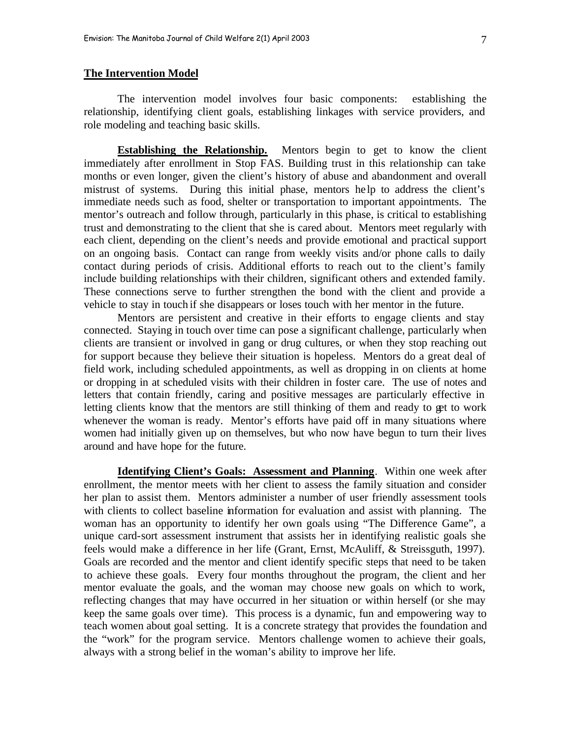## **The Intervention Model**

The intervention model involves four basic components: establishing the relationship, identifying client goals, establishing linkages with service providers, and role modeling and teaching basic skills.

**Establishing the Relationship.** Mentors begin to get to know the client immediately after enrollment in Stop FAS. Building trust in this relationship can take months or even longer, given the client's history of abuse and abandonment and overall mistrust of systems. During this initial phase, mentors he lp to address the client's immediate needs such as food, shelter or transportation to important appointments. The mentor's outreach and follow through, particularly in this phase, is critical to establishing trust and demonstrating to the client that she is cared about. Mentors meet regularly with each client, depending on the client's needs and provide emotional and practical support on an ongoing basis. Contact can range from weekly visits and/or phone calls to daily contact during periods of crisis. Additional efforts to reach out to the client's family include building relationships with their children, significant others and extended family. These connections serve to further strengthen the bond with the client and provide a vehicle to stay in touch if she disappears or loses touch with her mentor in the future.

Mentors are persistent and creative in their efforts to engage clients and stay connected. Staying in touch over time can pose a significant challenge, particularly when clients are transient or involved in gang or drug cultures, or when they stop reaching out for support because they believe their situation is hopeless. Mentors do a great deal of field work, including scheduled appointments, as well as dropping in on clients at home or dropping in at scheduled visits with their children in foster care. The use of notes and letters that contain friendly, caring and positive messages are particularly effective in letting clients know that the mentors are still thinking of them and ready to get to work whenever the woman is ready. Mentor's efforts have paid off in many situations where women had initially given up on themselves, but who now have begun to turn their lives around and have hope for the future.

**Identifying Client's Goals: Assessment and Planning**. Within one week after enrollment, the mentor meets with her client to assess the family situation and consider her plan to assist them. Mentors administer a number of user friendly assessment tools with clients to collect baseline information for evaluation and assist with planning. The woman has an opportunity to identify her own goals using "The Difference Game", a unique card-sort assessment instrument that assists her in identifying realistic goals she feels would make a difference in her life (Grant, Ernst, McAuliff, & Streissguth, 1997). Goals are recorded and the mentor and client identify specific steps that need to be taken to achieve these goals. Every four months throughout the program, the client and her mentor evaluate the goals, and the woman may choose new goals on which to work, reflecting changes that may have occurred in her situation or within herself (or she may keep the same goals over time). This process is a dynamic, fun and empowering way to teach women about goal setting. It is a concrete strategy that provides the foundation and the "work" for the program service. Mentors challenge women to achieve their goals, always with a strong belief in the woman's ability to improve her life.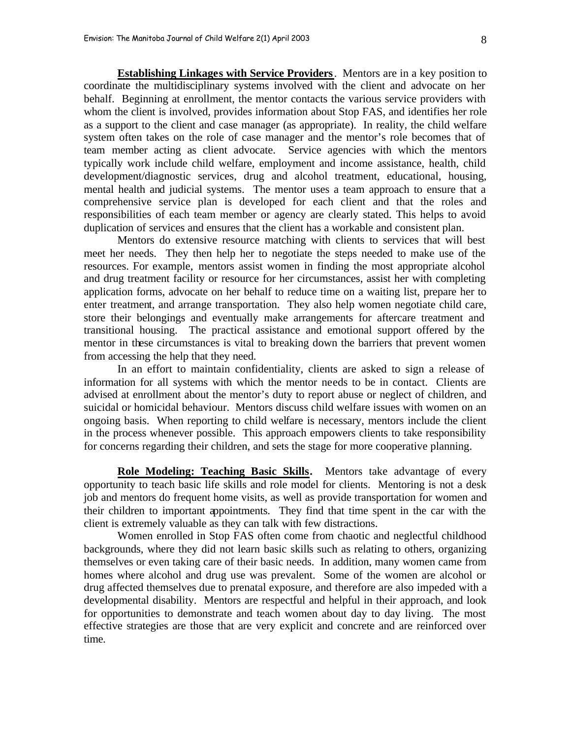**Establishing Linkages with Service Providers**. Mentors are in a key position to coordinate the multidisciplinary systems involved with the client and advocate on her behalf. Beginning at enrollment, the mentor contacts the various service providers with whom the client is involved, provides information about Stop FAS, and identifies her role as a support to the client and case manager (as appropriate). In reality, the child welfare system often takes on the role of case manager and the mentor's role becomes that of team member acting as client advocate. Service agencies with which the mentors typically work include child welfare, employment and income assistance, health, child development/diagnostic services, drug and alcohol treatment, educational, housing, mental health and judicial systems. The mentor uses a team approach to ensure that a comprehensive service plan is developed for each client and that the roles and responsibilities of each team member or agency are clearly stated. This helps to avoid duplication of services and ensures that the client has a workable and consistent plan.

Mentors do extensive resource matching with clients to services that will best meet her needs. They then help her to negotiate the steps needed to make use of the resources. For example, mentors assist women in finding the most appropriate alcohol and drug treatment facility or resource for her circumstances, assist her with completing application forms, advocate on her behalf to reduce time on a waiting list, prepare her to enter treatment, and arrange transportation. They also help women negotiate child care, store their belongings and eventually make arrangements for aftercare treatment and transitional housing. The practical assistance and emotional support offered by the mentor in these circumstances is vital to breaking down the barriers that prevent women from accessing the help that they need.

In an effort to maintain confidentiality, clients are asked to sign a release of information for all systems with which the mentor needs to be in contact. Clients are advised at enrollment about the mentor's duty to report abuse or neglect of children, and suicidal or homicidal behaviour. Mentors discuss child welfare issues with women on an ongoing basis. When reporting to child welfare is necessary, mentors include the client in the process whenever possible. This approach empowers clients to take responsibility for concerns regarding their children, and sets the stage for more cooperative planning.

**Role Modeling: Teaching Basic Skills.** Mentors take advantage of every opportunity to teach basic life skills and role model for clients. Mentoring is not a desk job and mentors do frequent home visits, as well as provide transportation for women and their children to important appointments. They find that time spent in the car with the client is extremely valuable as they can talk with few distractions.

Women enrolled in Stop FAS often come from chaotic and neglectful childhood backgrounds, where they did not learn basic skills such as relating to others, organizing themselves or even taking care of their basic needs. In addition, many women came from homes where alcohol and drug use was prevalent. Some of the women are alcohol or drug affected themselves due to prenatal exposure, and therefore are also impeded with a developmental disability. Mentors are respectful and helpful in their approach, and look for opportunities to demonstrate and teach women about day to day living. The most effective strategies are those that are very explicit and concrete and are reinforced over time.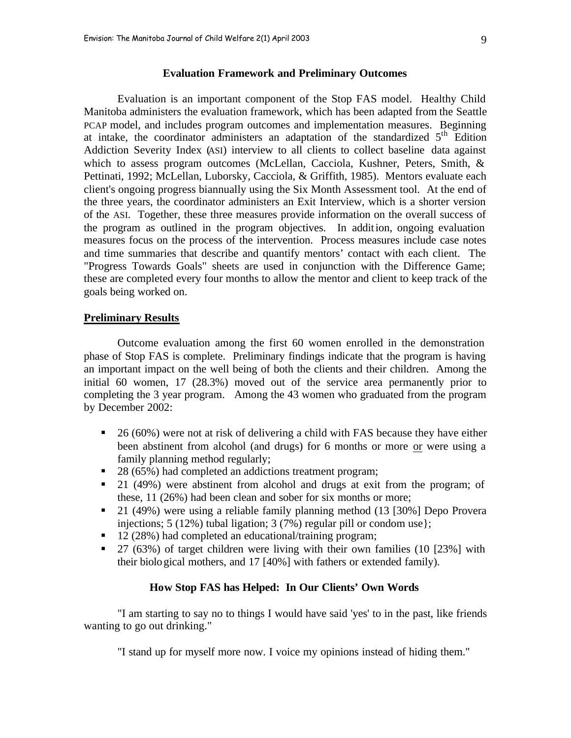### **Evaluation Framework and Preliminary Outcomes**

Evaluation is an important component of the Stop FAS model. Healthy Child Manitoba administers the evaluation framework, which has been adapted from the Seattle PCAP model, and includes program outcomes and implementation measures. Beginning at intake, the coordinator administers an adaptation of the standardized 5<sup>th</sup> Edition Addiction Severity Index (ASI) interview to all clients to collect baseline data against which to assess program outcomes (McLellan, Cacciola, Kushner, Peters, Smith, & Pettinati, 1992; McLellan, Luborsky, Cacciola, & Griffith, 1985). Mentors evaluate each client's ongoing progress biannually using the Six Month Assessment tool. At the end of the three years, the coordinator administers an Exit Interview, which is a shorter version of the ASI. Together, these three measures provide information on the overall success of the program as outlined in the program objectives. In addition, ongoing evaluation measures focus on the process of the intervention. Process measures include case notes and time summaries that describe and quantify mentors' contact with each client. The "Progress Towards Goals" sheets are used in conjunction with the Difference Game; these are completed every four months to allow the mentor and client to keep track of the goals being worked on.

# **Preliminary Results**

Outcome evaluation among the first 60 women enrolled in the demonstration phase of Stop FAS is complete. Preliminary findings indicate that the program is having an important impact on the well being of both the clients and their children. Among the initial 60 women, 17 (28.3%) moved out of the service area permanently prior to completing the 3 year program. Among the 43 women who graduated from the program by December 2002:

- $\blacksquare$  26 (60%) were not at risk of delivering a child with FAS because they have either been abstinent from alcohol (and drugs) for 6 months or more or were using a family planning method regularly;
- 28 (65%) had completed an addictions treatment program;
- **21** (49%) were abstinent from alcohol and drugs at exit from the program; of these, 11 (26%) had been clean and sober for six months or more;
- 21 (49%) were using a reliable family planning method (13 [30%] Depo Provera injections; 5 (12%) tubal ligation; 3 (7%) regular pill or condom use};
- 12 (28%) had completed an educational/training program;
- $\blacksquare$  27 (63%) of target children were living with their own families (10 [23%] with their biological mothers, and 17 [40%] with fathers or extended family).

### **How Stop FAS has Helped: In Our Clients' Own Words**

"I am starting to say no to things I would have said 'yes' to in the past, like friends wanting to go out drinking."

"I stand up for myself more now. I voice my opinions instead of hiding them."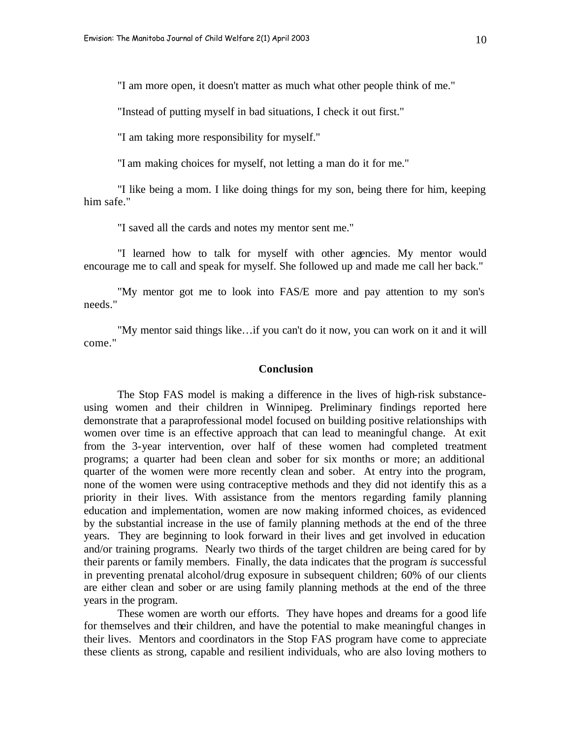"I am more open, it doesn't matter as much what other people think of me."

"Instead of putting myself in bad situations, I check it out first."

"I am taking more responsibility for myself."

"I am making choices for myself, not letting a man do it for me."

"I like being a mom. I like doing things for my son, being there for him, keeping him safe."

"I saved all the cards and notes my mentor sent me."

"I learned how to talk for myself with other agencies. My mentor would encourage me to call and speak for myself. She followed up and made me call her back."

"My mentor got me to look into FAS/E more and pay attention to my son's needs."

"My mentor said things like…if you can't do it now, you can work on it and it will come."

# **Conclusion**

The Stop FAS model is making a difference in the lives of high-risk substanceusing women and their children in Winnipeg. Preliminary findings reported here demonstrate that a paraprofessional model focused on building positive relationships with women over time is an effective approach that can lead to meaningful change. At exit from the 3-year intervention, over half of these women had completed treatment programs; a quarter had been clean and sober for six months or more; an additional quarter of the women were more recently clean and sober. At entry into the program, none of the women were using contraceptive methods and they did not identify this as a priority in their lives. With assistance from the mentors regarding family planning education and implementation, women are now making informed choices, as evidenced by the substantial increase in the use of family planning methods at the end of the three years. They are beginning to look forward in their lives and get involved in education and/or training programs. Nearly two thirds of the target children are being cared for by their parents or family members. Finally, the data indicates that the program *is* successful in preventing prenatal alcohol/drug exposure in subsequent children; 60% of our clients are either clean and sober or are using family planning methods at the end of the three years in the program.

These women are worth our efforts. They have hopes and dreams for a good life for themselves and their children, and have the potential to make meaningful changes in their lives. Mentors and coordinators in the Stop FAS program have come to appreciate these clients as strong, capable and resilient individuals, who are also loving mothers to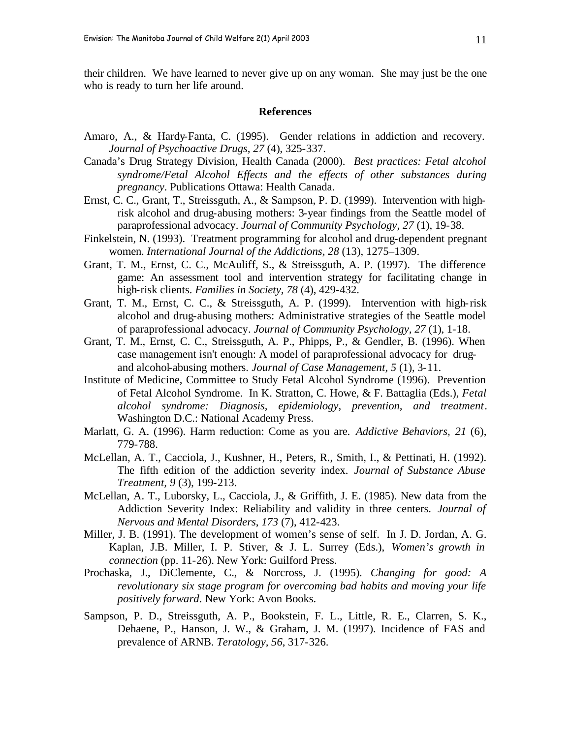their children. We have learned to never give up on any woman. She may just be the one who is ready to turn her life around.

#### **References**

- Amaro, A., & Hardy-Fanta, C. (1995). Gender relations in addiction and recovery. *Journal of Psychoactive Drugs, 27* (4), 325-337.
- Canada's Drug Strategy Division, Health Canada (2000). *Best practices: Fetal alcohol syndrome/Fetal Alcohol Effects and the effects of other substances during pregnancy*. Publications Ottawa: Health Canada.
- Ernst, C. C., Grant, T., Streissguth, A., & Sampson, P. D. (1999). Intervention with highrisk alcohol and drug-abusing mothers: 3-year findings from the Seattle model of paraprofessional advocacy. *Journal of Community Psychology, 27* (1), 19-38.
- Finkelstein, N. (1993). Treatment programming for alcohol and drug-dependent pregnant women. *International Journal of the Addictions, 28* (13), 1275–1309.
- Grant, T. M., Ernst, C. C., McAuliff, S., & Streissguth, A. P. (1997). The difference game: An assessment tool and intervention strategy for facilitating change in high-risk clients. *Families in Society, 78* (4), 429-432.
- Grant, T. M., Ernst, C. C., & Streissguth, A. P. (1999). Intervention with high-risk alcohol and drug-abusing mothers: Administrative strategies of the Seattle model of paraprofessional advocacy. *Journal of Community Psychology, 27* (1), 1-18.
- Grant, T. M., Ernst, C. C., Streissguth, A. P., Phipps, P., & Gendler, B. (1996). When case management isn't enough: A model of paraprofessional advocacy for drugand alcohol-abusing mothers. *Journal of Case Management, 5* (1), 3-11.
- Institute of Medicine, Committee to Study Fetal Alcohol Syndrome (1996). Prevention of Fetal Alcohol Syndrome. In K. Stratton, C. Howe, & F. Battaglia (Eds.), *Fetal alcohol syndrome: Diagnosis, epidemiology, prevention, and treatment*. Washington D.C.: National Academy Press.
- Marlatt, G. A. (1996). Harm reduction: Come as you are. *Addictive Behaviors, 21* (6), 779-788.
- McLellan, A. T., Cacciola, J., Kushner, H., Peters, R., Smith, I., & Pettinati, H. (1992). The fifth edition of the addiction severity index. *Journal of Substance Abuse Treatment, 9* (3), 199-213.
- McLellan, A. T., Luborsky, L., Cacciola, J., & Griffith, J. E. (1985). New data from the Addiction Severity Index: Reliability and validity in three centers. *Journal of Nervous and Mental Disorders*, *173* (7), 412-423.
- Miller, J. B. (1991). The development of women's sense of self. In J. D. Jordan, A. G. Kaplan, J.B. Miller, I. P. Stiver, & J. L. Surrey (Eds.), *Women's growth in connection* (pp. 11-26). New York: Guilford Press.
- Prochaska, J., DiClemente, C., & Norcross, J. (1995). *Changing for good: A revolutionary six stage program for overcoming bad habits and moving your life positively forward*. New York: Avon Books.
- Sampson, P. D., Streissguth, A. P., Bookstein, F. L., Little, R. E., Clarren, S. K., Dehaene, P., Hanson, J. W., & Graham, J. M. (1997). Incidence of FAS and prevalence of ARNB. *Teratology, 56*, 317-326.